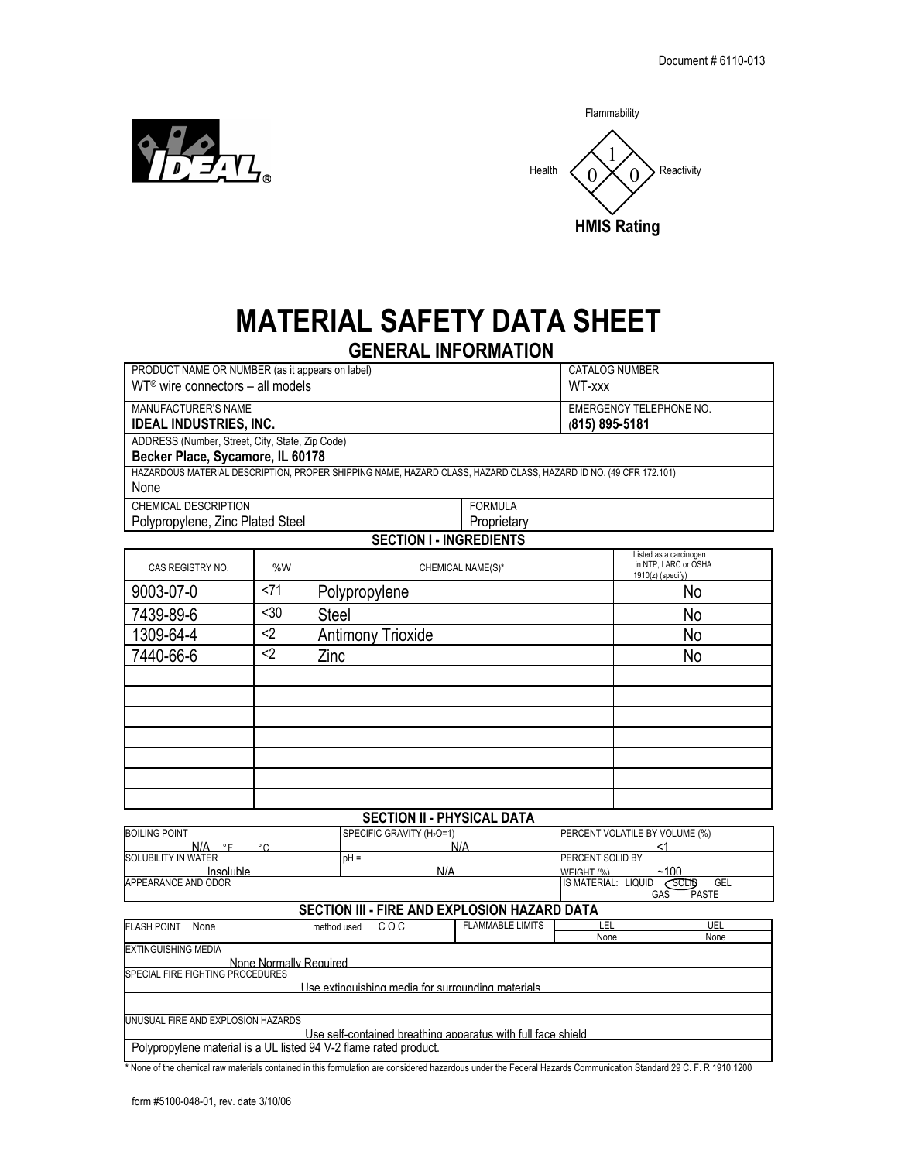



## **MATERIAL SAFETY DATA SHEET GENERAL INFORMATION**

|                                                 |      | <b>UCNERAL INFURMATIUN</b>                                                                                       |             |  |                                                                        |
|-------------------------------------------------|------|------------------------------------------------------------------------------------------------------------------|-------------|--|------------------------------------------------------------------------|
| PRODUCT NAME OR NUMBER (as it appears on label) |      |                                                                                                                  |             |  | CATALOG NUMBER                                                         |
| $WT®$ wire connectors - all models<br>WT-xxx    |      |                                                                                                                  |             |  |                                                                        |
| MANUFACTURER'S NAME                             |      |                                                                                                                  |             |  | <b>EMERGENCY TELEPHONE NO.</b>                                         |
| <b>IDEAL INDUSTRIES, INC.</b><br>(815) 895-5181 |      |                                                                                                                  |             |  |                                                                        |
| ADDRESS (Number, Street, City, State, Zip Code) |      |                                                                                                                  |             |  |                                                                        |
| Becker Place, Sycamore, IL 60178                |      |                                                                                                                  |             |  |                                                                        |
|                                                 |      | HAZARDOUS MATERIAL DESCRIPTION, PROPER SHIPPING NAME, HAZARD CLASS, HAZARD CLASS, HAZARD ID NO. (49 CFR 172.101) |             |  |                                                                        |
| None                                            |      |                                                                                                                  |             |  |                                                                        |
| CHEMICAL DESCRIPTION<br><b>FORMULA</b>          |      |                                                                                                                  |             |  |                                                                        |
| Polypropylene, Zinc Plated Steel                |      |                                                                                                                  | Proprietary |  |                                                                        |
|                                                 |      | <b>SECTION I - INGREDIENTS</b>                                                                                   |             |  |                                                                        |
| CAS REGISTRY NO.                                | %W   | CHEMICAL NAME(S)*                                                                                                |             |  | Listed as a carcinogen<br>in NTP, I ARC or OSHA<br>$1910(z)$ (specify) |
| 9003-07-0                                       | < 71 | Polypropylene                                                                                                    |             |  | No                                                                     |
| 7439-89-6                                       | < 30 | <b>Steel</b>                                                                                                     |             |  | No                                                                     |
| 1309-64-4                                       | $2$  | <b>Antimony Trioxide</b>                                                                                         |             |  | No                                                                     |
| 7440-66-6                                       | $2$  | Zinc                                                                                                             |             |  | No                                                                     |
|                                                 |      |                                                                                                                  |             |  |                                                                        |
|                                                 |      |                                                                                                                  |             |  |                                                                        |
|                                                 |      |                                                                                                                  |             |  |                                                                        |
|                                                 |      |                                                                                                                  |             |  |                                                                        |
|                                                 |      |                                                                                                                  |             |  |                                                                        |
|                                                 |      |                                                                                                                  |             |  |                                                                        |
|                                                 |      |                                                                                                                  |             |  |                                                                        |
|                                                 |      | <b>SECTION II - PHYSICAL DATA</b>                                                                                |             |  |                                                                        |

|                                              | <b>SLUIDN II - FIIISIUAL DATA</b>          |                                |  |  |
|----------------------------------------------|--------------------------------------------|--------------------------------|--|--|
| <b>BOILING POINT</b>                         | SPECIFIC GRAVITY (H <sub>2</sub> O=1)      | PERCENT VOLATILE BY VOLUME (%) |  |  |
| N/A<br>$\circ$ r<br>$^{\circ}$ $\sim$        | N/A                                        |                                |  |  |
| SOLUBILITY IN WATER                          | $pH =$                                     | PERCENT SOLID BY               |  |  |
| Insoluble                                    | N/A                                        | ~100<br>WEIGHT (%)             |  |  |
| APPEARANCE AND ODOR                          | IS MATERIAL: LIQUID<br>GEL<br><b>SOLIB</b> |                                |  |  |
| GAS<br><b>PASTE</b>                          |                                            |                                |  |  |
| SECTION III - FIRE AND EXPLOSION HAZARD DATA |                                            |                                |  |  |

| <b>FI ASH POINT</b>                      | <b>None</b> | COC.<br>method used                                               | <b>FLAMMABLE LIMITS</b> | LEL  | UEL  |
|------------------------------------------|-------------|-------------------------------------------------------------------|-------------------------|------|------|
|                                          |             |                                                                   |                         | None | None |
| <b>IEXTINGUISHING MEDIA</b>              |             |                                                                   |                         |      |      |
|                                          |             | None Normally Required                                            |                         |      |      |
| <b>ISPECIAL FIRE FIGHTING PROCEDURES</b> |             |                                                                   |                         |      |      |
|                                          |             | Use extinguishing media for surrounding materials.                |                         |      |      |
|                                          |             |                                                                   |                         |      |      |
|                                          |             | UNUSUAL FIRE AND EXPLOSION HAZARDS                                |                         |      |      |
|                                          |             | Use self-contained breathing apparatus with full face shield.     |                         |      |      |
|                                          |             | Polypropylene material is a UL listed 94 V-2 flame rated product. |                         |      |      |

\* None of the chemical raw materials contained in this formulation are considered hazardous under the Federal Hazards Communication Standard 29 C. F. R 1910.1200